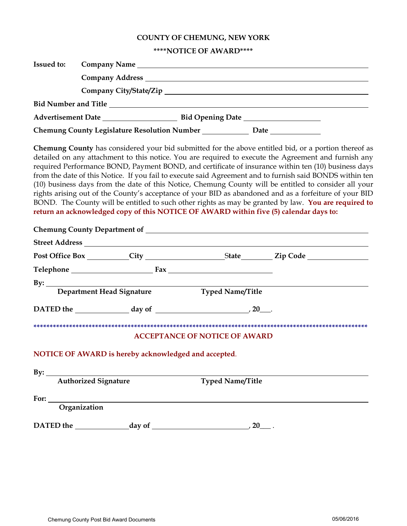# COUNTY OF CHEMUNG, NEW YORK

## \*\*\*\*NOTICE OF AWARD\*\*\*\*

| <b>Issued to:</b> |                                      |                                                                                                                                                                                                                                                                                                                                                                                                                                                                                                                                                                                                                                                                                                                                                                                                                                                     |  |  |  |  |
|-------------------|--------------------------------------|-----------------------------------------------------------------------------------------------------------------------------------------------------------------------------------------------------------------------------------------------------------------------------------------------------------------------------------------------------------------------------------------------------------------------------------------------------------------------------------------------------------------------------------------------------------------------------------------------------------------------------------------------------------------------------------------------------------------------------------------------------------------------------------------------------------------------------------------------------|--|--|--|--|
|                   |                                      | Company Address Languary 2014                                                                                                                                                                                                                                                                                                                                                                                                                                                                                                                                                                                                                                                                                                                                                                                                                       |  |  |  |  |
|                   |                                      |                                                                                                                                                                                                                                                                                                                                                                                                                                                                                                                                                                                                                                                                                                                                                                                                                                                     |  |  |  |  |
|                   |                                      |                                                                                                                                                                                                                                                                                                                                                                                                                                                                                                                                                                                                                                                                                                                                                                                                                                                     |  |  |  |  |
|                   |                                      |                                                                                                                                                                                                                                                                                                                                                                                                                                                                                                                                                                                                                                                                                                                                                                                                                                                     |  |  |  |  |
|                   |                                      | Chemung County Legislature Resolution Number _____________ Date ________________                                                                                                                                                                                                                                                                                                                                                                                                                                                                                                                                                                                                                                                                                                                                                                    |  |  |  |  |
|                   |                                      | Chemung County has considered your bid submitted for the above entitled bid, or a portion thereof as<br>detailed on any attachment to this notice. You are required to execute the Agreement and furnish any<br>required Performance BOND, Payment BOND, and certificate of insurance within ten (10) business days<br>from the date of this Notice. If you fail to execute said Agreement and to furnish said BONDS within ten<br>(10) business days from the date of this Notice, Chemung County will be entitled to consider all your<br>rights arising out of the County's acceptance of your BID as abandoned and as a forfeiture of your BID<br>BOND. The County will be entitled to such other rights as may be granted by law. You are required to<br>return an acknowledged copy of this NOTICE OF AWARD within five (5) calendar days to: |  |  |  |  |
|                   |                                      |                                                                                                                                                                                                                                                                                                                                                                                                                                                                                                                                                                                                                                                                                                                                                                                                                                                     |  |  |  |  |
|                   |                                      |                                                                                                                                                                                                                                                                                                                                                                                                                                                                                                                                                                                                                                                                                                                                                                                                                                                     |  |  |  |  |
|                   |                                      |                                                                                                                                                                                                                                                                                                                                                                                                                                                                                                                                                                                                                                                                                                                                                                                                                                                     |  |  |  |  |
|                   |                                      |                                                                                                                                                                                                                                                                                                                                                                                                                                                                                                                                                                                                                                                                                                                                                                                                                                                     |  |  |  |  |
|                   |                                      |                                                                                                                                                                                                                                                                                                                                                                                                                                                                                                                                                                                                                                                                                                                                                                                                                                                     |  |  |  |  |
|                   |                                      |                                                                                                                                                                                                                                                                                                                                                                                                                                                                                                                                                                                                                                                                                                                                                                                                                                                     |  |  |  |  |
|                   |                                      | DATED the $\_\_\_\_\_\$ day of $\_\_\_\_\_\_\_\_\_\_\_\_$ 20.                                                                                                                                                                                                                                                                                                                                                                                                                                                                                                                                                                                                                                                                                                                                                                                       |  |  |  |  |
|                   |                                      | <b>ACCEPTANCE OF NOTICE OF AWARD</b>                                                                                                                                                                                                                                                                                                                                                                                                                                                                                                                                                                                                                                                                                                                                                                                                                |  |  |  |  |
|                   |                                      | NOTICE OF AWARD is hereby acknowledged and accepted.                                                                                                                                                                                                                                                                                                                                                                                                                                                                                                                                                                                                                                                                                                                                                                                                |  |  |  |  |
|                   | By: <u>Authorized Signature</u>      | <b>Typed Name/Title</b>                                                                                                                                                                                                                                                                                                                                                                                                                                                                                                                                                                                                                                                                                                                                                                                                                             |  |  |  |  |
|                   | For: $\qquad \qquad$<br>Organization |                                                                                                                                                                                                                                                                                                                                                                                                                                                                                                                                                                                                                                                                                                                                                                                                                                                     |  |  |  |  |
|                   |                                      | DATED the $\_\_\_\_\_\_\$ day of $\_\_\_\_\_\_\_\_\_\_\_\_$ 20 $\_\_\_\_\_\$ .                                                                                                                                                                                                                                                                                                                                                                                                                                                                                                                                                                                                                                                                                                                                                                      |  |  |  |  |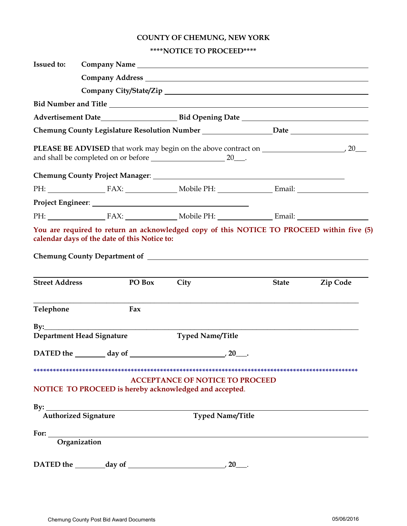# **COUNTY OF CHEMUNG, NEW YORK**

## **\*\*\*\*NOTICE TO PROCEED\*\*\*\***

| <b>Issued to:</b>     | Company Name                                           |                                                                                           |              |                 |  |  |
|-----------------------|--------------------------------------------------------|-------------------------------------------------------------------------------------------|--------------|-----------------|--|--|
|                       |                                                        |                                                                                           |              |                 |  |  |
|                       |                                                        |                                                                                           |              |                 |  |  |
|                       |                                                        |                                                                                           |              |                 |  |  |
|                       |                                                        |                                                                                           |              |                 |  |  |
|                       |                                                        | Chemung County Legislature Resolution Number _____________________Date _________________  |              |                 |  |  |
|                       |                                                        |                                                                                           |              |                 |  |  |
|                       |                                                        |                                                                                           |              |                 |  |  |
|                       |                                                        | PH: FAX: Nobile PH: Email: Email:                                                         |              |                 |  |  |
|                       |                                                        |                                                                                           |              |                 |  |  |
|                       |                                                        |                                                                                           |              |                 |  |  |
|                       | calendar days of the date of this Notice to:           | You are required to return an acknowledged copy of this NOTICE TO PROCEED within five (5) |              |                 |  |  |
|                       |                                                        |                                                                                           |              |                 |  |  |
| <b>Street Address</b> | PO Box City                                            |                                                                                           | <b>State</b> | <b>Zip Code</b> |  |  |
| Telephone             | Fax                                                    |                                                                                           |              |                 |  |  |
| $\mathbf{By:}$        |                                                        |                                                                                           |              |                 |  |  |
|                       | <b>Department Head Signature</b>                       | <b>Typed Name/Title</b>                                                                   |              |                 |  |  |
|                       | DATED the day of 20                                    |                                                                                           |              |                 |  |  |
|                       | NOTICE TO PROCEED is hereby acknowledged and accepted. | <b>ACCEPTANCE OF NOTICE TO PROCEED</b>                                                    |              |                 |  |  |
|                       |                                                        | By: <u>Authorized Signature</u> Typed Name/Title                                          |              |                 |  |  |
|                       | For: <u>Organization</u>                               |                                                                                           |              |                 |  |  |
|                       |                                                        |                                                                                           |              |                 |  |  |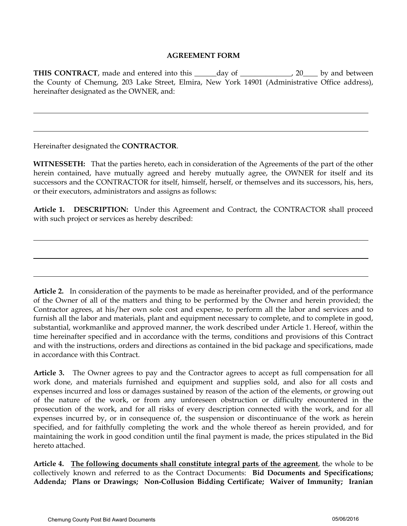## **AGREEMENT FORM**

**THIS CONTRACT**, made and entered into this \_\_\_\_\_day of \_\_\_\_\_\_\_\_\_\_\_, 20\_\_\_\_ by and between the County of Chemung, 203 Lake Street, Elmira, New York 14901 (Administrative Office address), hereinafter designated as the OWNER, and:

Hereinafter designated the **CONTRACTOR**.

l

**WITNESSETH:** That the parties hereto, each in consideration of the Agreements of the part of the other herein contained, have mutually agreed and hereby mutually agree, the OWNER for itself and its successors and the CONTRACTOR for itself, himself, herself, or themselves and its successors, his, hers, or their executors, administrators and assigns as follows:

**Article 1. DESCRIPTION:** Under this Agreement and Contract, the CONTRACTOR shall proceed with such project or services as hereby described:

**Article 2.** In consideration of the payments to be made as hereinafter provided, and of the performance of the Owner of all of the matters and thing to be performed by the Owner and herein provided; the Contractor agrees, at his/her own sole cost and expense, to perform all the labor and services and to furnish all the labor and materials, plant and equipment necessary to complete, and to complete in good, substantial, workmanlike and approved manner, the work described under Article 1. Hereof, within the time hereinafter specified and in accordance with the terms, conditions and provisions of this Contract and with the instructions, orders and directions as contained in the bid package and specifications, made in accordance with this Contract.

**Article 3.** The Owner agrees to pay and the Contractor agrees to accept as full compensation for all work done, and materials furnished and equipment and supplies sold, and also for all costs and expenses incurred and loss or damages sustained by reason of the action of the elements, or growing out of the nature of the work, or from any unforeseen obstruction or difficulty encountered in the prosecution of the work, and for all risks of every description connected with the work, and for all expenses incurred by, or in consequence of, the suspension or discontinuance of the work as herein specified, and for faithfully completing the work and the whole thereof as herein provided, and for maintaining the work in good condition until the final payment is made, the prices stipulated in the Bid hereto attached.

**Article 4. The following documents shall constitute integral parts of the agreement**, the whole to be collectively known and referred to as the Contract Documents: **Bid Documents and Specifications; Addenda; Plans or Drawings; Non-Collusion Bidding Certificate; Waiver of Immunity; Iranian**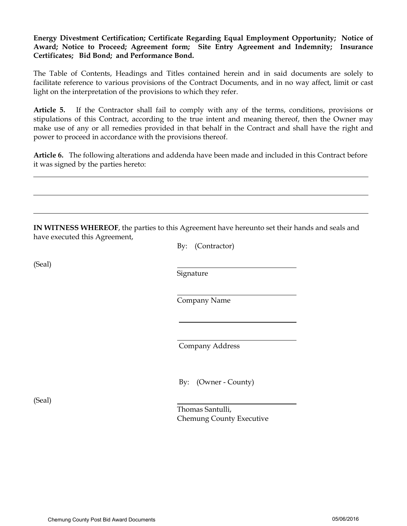**Energy Divestment Certification; Certificate Regarding Equal Employment Opportunity; Notice of Award; Notice to Proceed; Agreement form; Site Entry Agreement and Indemnity; Insurance Certificates; Bid Bond; and Performance Bond.**

The Table of Contents, Headings and Titles contained herein and in said documents are solely to facilitate reference to various provisions of the Contract Documents, and in no way affect, limit or cast light on the interpretation of the provisions to which they refer.

**Article 5.** If the Contractor shall fail to comply with any of the terms, conditions, provisions or stipulations of this Contract, according to the true intent and meaning thereof, then the Owner may make use of any or all remedies provided in that behalf in the Contract and shall have the right and power to proceed in accordance with the provisions thereof.

**Article 6.** The following alterations and addenda have been made and included in this Contract before it was signed by the parties hereto:

| have executed this Agreement, | By: (Contractor)                             |
|-------------------------------|----------------------------------------------|
| (Seal)                        | Signature                                    |
|                               | Company Name                                 |
|                               | Company Address                              |
|                               | By: (Owner - County)                         |
| (Seal)                        | Thomas Santulli,<br>Chemung County Executive |

l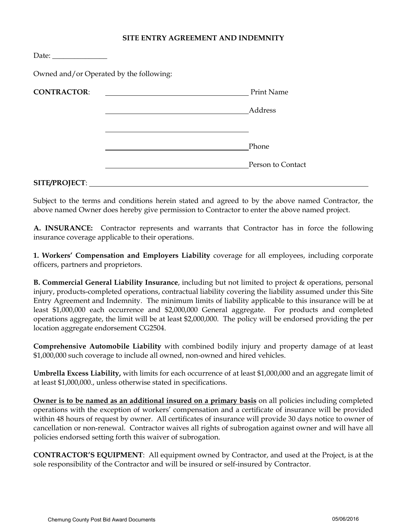### **SITE ENTRY AGREEMENT AND INDEMNITY**

| Date: $\_\_$       |                                         |                   |
|--------------------|-----------------------------------------|-------------------|
|                    | Owned and/or Operated by the following: |                   |
| <b>CONTRACTOR:</b> |                                         | <b>Print Name</b> |
|                    |                                         | Address           |
|                    |                                         |                   |
|                    |                                         | Phone             |
|                    |                                         | Person to Contact |
|                    |                                         |                   |

#### **SITE/PROJECT**:

Subject to the terms and conditions herein stated and agreed to by the above named Contractor, the above named Owner does hereby give permission to Contractor to enter the above named project.

**A. INSURANCE:** Contractor represents and warrants that Contractor has in force the following insurance coverage applicable to their operations.

**1. Workers' Compensation and Employers Liability** coverage for all employees, including corporate officers, partners and proprietors.

**B. Commercial General Liability Insurance**, including but not limited to project & operations, personal injury, products-completed operations, contractual liability covering the liability assumed under this Site Entry Agreement and Indemnity. The minimum limits of liability applicable to this insurance will be at least \$1,000,000 each occurrence and \$2,000,000 General aggregate. For products and completed operations aggregate, the limit will be at least \$2,000,000. The policy will be endorsed providing the per location aggregate endorsement CG2504.

**Comprehensive Automobile Liability** with combined bodily injury and property damage of at least \$1,000,000 such coverage to include all owned, non-owned and hired vehicles.

**Umbrella Excess Liability,** with limits for each occurrence of at least \$1,000,000 and an aggregate limit of at least \$1,000,000., unless otherwise stated in specifications.

**Owner is to be named as an additional insured on a primary basis** on all policies including completed operations with the exception of workers' compensation and a certificate of insurance will be provided within 48 hours of request by owner. All certificates of insurance will provide 30 days notice to owner of cancellation or non-renewal. Contractor waives all rights of subrogation against owner and will have all policies endorsed setting forth this waiver of subrogation.

**CONTRACTOR'S EQUIPMENT**: All equipment owned by Contractor, and used at the Project, is at the sole responsibility of the Contractor and will be insured or self-insured by Contractor.